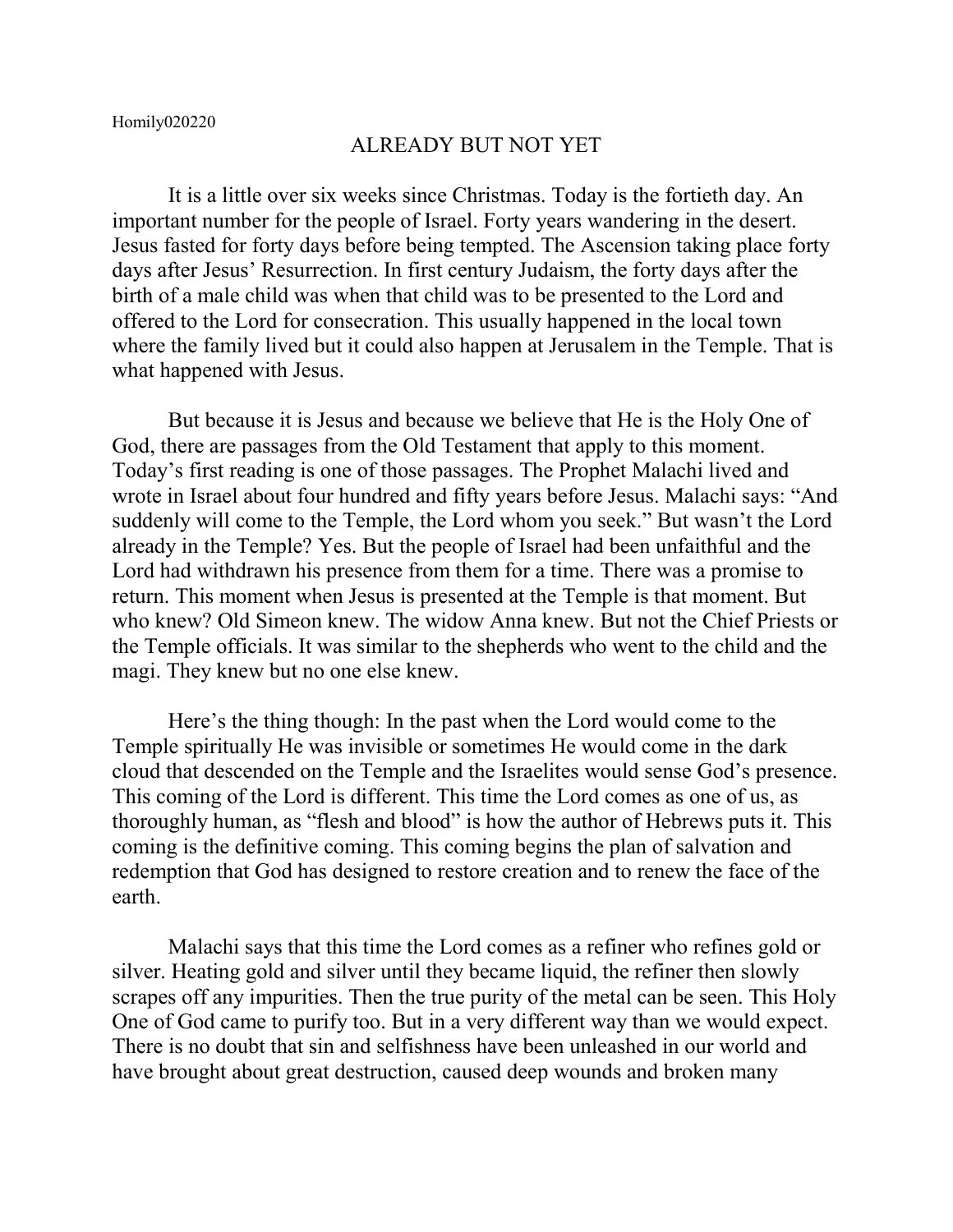## ALREADY BUT NOT YET

It is a little over six weeks since Christmas. Today is the fortieth day. An important number for the people of Israel. Forty years wandering in the desert. Jesus fasted for forty days before being tempted. The Ascension taking place forty days after Jesus' Resurrection. In first century Judaism, the forty days after the birth of a male child was when that child was to be presented to the Lord and offered to the Lord for consecration. This usually happened in the local town where the family lived but it could also happen at Jerusalem in the Temple. That is what happened with Jesus.

But because it is Jesus and because we believe that He is the Holy One of God, there are passages from the Old Testament that apply to this moment. Today's first reading is one of those passages. The Prophet Malachi lived and wrote in Israel about four hundred and fifty years before Jesus. Malachi says: "And suddenly will come to the Temple, the Lord whom you seek." But wasn't the Lord already in the Temple? Yes. But the people of Israel had been unfaithful and the Lord had withdrawn his presence from them for a time. There was a promise to return. This moment when Jesus is presented at the Temple is that moment. But who knew? Old Simeon knew. The widow Anna knew. But not the Chief Priests or the Temple officials. It was similar to the shepherds who went to the child and the magi. They knew but no one else knew.

Here's the thing though: In the past when the Lord would come to the Temple spiritually He was invisible or sometimes He would come in the dark cloud that descended on the Temple and the Israelites would sense God's presence. This coming of the Lord is different. This time the Lord comes as one of us, as thoroughly human, as "flesh and blood" is how the author of Hebrews puts it. This coming is the definitive coming. This coming begins the plan of salvation and redemption that God has designed to restore creation and to renew the face of the earth.

Malachi says that this time the Lord comes as a refiner who refines gold or silver. Heating gold and silver until they became liquid, the refiner then slowly scrapes off any impurities. Then the true purity of the metal can be seen. This Holy One of God came to purify too. But in a very different way than we would expect. There is no doubt that sin and selfishness have been unleashed in our world and have brought about great destruction, caused deep wounds and broken many